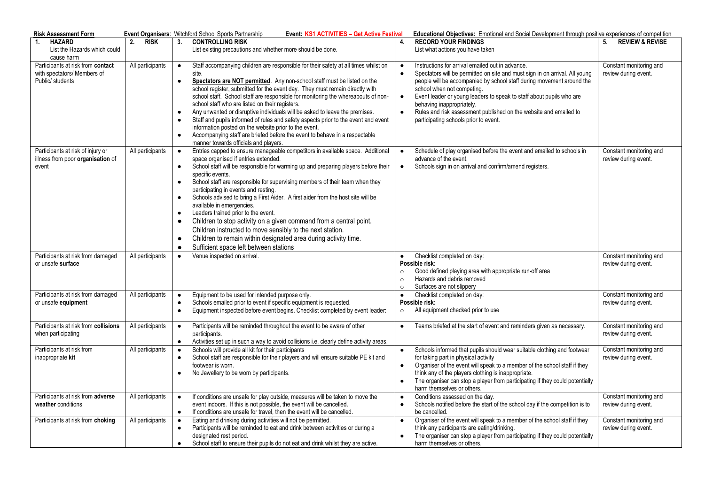| <b>Risk Assessment Form</b>                                                          |                   | Event Organisers: Witchford School Sports Partnership                                                                                                                                                                                                                                                                                                                                                                                                                                                                                                                                                                                                                                                                                                                                                                                          | Event: KS1 ACTIVITIES - Get Active Festival<br>Educational Objectives: Emotional and Social Development through positive experiences of competition                                                                                                                                                                                                                                                                                                                                                           |                                                 |  |
|--------------------------------------------------------------------------------------|-------------------|------------------------------------------------------------------------------------------------------------------------------------------------------------------------------------------------------------------------------------------------------------------------------------------------------------------------------------------------------------------------------------------------------------------------------------------------------------------------------------------------------------------------------------------------------------------------------------------------------------------------------------------------------------------------------------------------------------------------------------------------------------------------------------------------------------------------------------------------|---------------------------------------------------------------------------------------------------------------------------------------------------------------------------------------------------------------------------------------------------------------------------------------------------------------------------------------------------------------------------------------------------------------------------------------------------------------------------------------------------------------|-------------------------------------------------|--|
| <b>HAZARD</b><br>1 <sub>1</sub><br>List the Hazards which could<br>cause harm        | <b>RISK</b><br>2. | 3.<br><b>CONTROLLING RISK</b><br>List existing precautions and whether more should be done.                                                                                                                                                                                                                                                                                                                                                                                                                                                                                                                                                                                                                                                                                                                                                    | <b>RECORD YOUR FINDINGS</b><br>4.<br>List what actions you have taken                                                                                                                                                                                                                                                                                                                                                                                                                                         | 5.<br><b>REVIEW &amp; REVISE</b>                |  |
| Participants at risk from contact<br>with spectators/ Members of<br>Public/ students | All participants  | Staff accompanying children are responsible for their safety at all times whilst on<br>$\bullet$<br>site.<br>Spectators are NOT permitted. Any non-school staff must be listed on the<br>$\bullet$<br>school register, submitted for the event day. They must remain directly with<br>school staff. School staff are responsible for monitoring the whereabouts of non-<br>school staff who are listed on their registers.<br>Any unwanted or disruptive individuals will be asked to leave the premises.<br>$\bullet$<br>Staff and pupils informed of rules and safety aspects prior to the event and event<br>information posted on the website prior to the event.<br>Accompanying staff are briefed before the event to behave in a respectable<br>$\bullet$<br>manner towards officials and players.                                      | Instructions for arrival emailed out in advance.<br>$\bullet$<br>$\bullet$<br>Spectators will be permitted on site and must sign in on arrival. All young<br>people will be accompanied by school staff during movement around the<br>school when not competing.<br>Event leader or young leaders to speak to staff about pupils who are<br>$\bullet$<br>behaving inappropriately.<br>Rules and risk assessment published on the website and emailed to<br>$\bullet$<br>participating schools prior to event. | Constant monitoring and<br>review during event. |  |
| Participants at risk of injury or<br>illness from poor organisation of<br>event      | All participants  | Entries capped to ensure manageable competitors in available space. Additional<br>$\bullet$<br>space organised if entries extended.<br>School staff will be responsible for warming up and preparing players before their<br>$\bullet$<br>specific events.<br>School staff are responsible for supervising members of their team when they<br>$\bullet$<br>participating in events and resting.<br>Schools advised to bring a First Aider. A first aider from the host site will be<br>available in emergencies.<br>Leaders trained prior to the event.<br>$\bullet$<br>Children to stop activity on a given command from a central point.<br>$\bullet$<br>Children instructed to move sensibly to the next station.<br>Children to remain within designated area during activity time.<br>$\bullet$<br>Sufficient space left between stations | Schedule of play organised before the event and emailed to schools in<br>$\bullet$<br>advance of the event.<br>Schools sign in on arrival and confirm/amend registers.<br>$\bullet$                                                                                                                                                                                                                                                                                                                           | Constant monitoring and<br>review during event. |  |
| Participants at risk from damaged<br>or unsafe surface                               | All participants  | Venue inspected on arrival.<br>$\bullet$                                                                                                                                                                                                                                                                                                                                                                                                                                                                                                                                                                                                                                                                                                                                                                                                       | Checklist completed on day:<br>$\bullet$<br>Possible risk:<br>Good defined playing area with appropriate run-off area<br>$\circ$<br>Hazards and debris removed<br>$\circ$<br>Surfaces are not slippery<br>$\circ$                                                                                                                                                                                                                                                                                             | Constant monitoring and<br>review during event. |  |
| Participants at risk from damaged<br>or unsafe equipment                             | All participants  | Equipment to be used for intended purpose only.<br>$\bullet$<br>Schools emailed prior to event if specific equipment is requested.<br>$\bullet$<br>Equipment inspected before event begins. Checklist completed by event leader:<br>$\bullet$                                                                                                                                                                                                                                                                                                                                                                                                                                                                                                                                                                                                  | Checklist completed on day:<br>$\bullet$<br>Possible risk:<br>All equipment checked prior to use<br>$\circ$                                                                                                                                                                                                                                                                                                                                                                                                   | Constant monitoring and<br>review during event. |  |
| Participants at risk from collisions<br>when participating                           | All participants  | Participants will be reminded throughout the event to be aware of other<br>$\bullet$<br>participants.<br>Activities set up in such a way to avoid collisions i.e. clearly define activity areas.<br>$\bullet$                                                                                                                                                                                                                                                                                                                                                                                                                                                                                                                                                                                                                                  | Teams briefed at the start of event and reminders given as necessary.<br>$\bullet$                                                                                                                                                                                                                                                                                                                                                                                                                            | Constant monitoring and<br>review during event. |  |
| Participants at risk from<br>inappropriate kit                                       | All participants  | Schools will provide all kit for their participants<br>School staff are responsible for their players and will ensure suitable PE kit and<br>$\bullet$<br>footwear is worn.<br>No Jewellery to be worn by participants.<br>$\bullet$                                                                                                                                                                                                                                                                                                                                                                                                                                                                                                                                                                                                           | Schools informed that pupils should wear suitable clothing and footwear<br>$\bullet$<br>for taking part in physical activity<br>Organiser of the event will speak to a member of the school staff if they<br>$\bullet$<br>think any of the players clothing is inappropriate.<br>The organiser can stop a player from participating if they could potentially<br>$\bullet$<br>harm themselves or others.                                                                                                      | Constant monitoring and<br>review during event. |  |
| Participants at risk from adverse<br>weather conditions                              | All participants  | If conditions are unsafe for play outside, measures will be taken to move the<br>$\bullet$<br>event indoors. If this is not possible, the event will be cancelled.<br>If conditions are unsafe for travel, then the event will be cancelled.<br>$\bullet$                                                                                                                                                                                                                                                                                                                                                                                                                                                                                                                                                                                      | Conditions assessed on the day.<br>$\bullet$<br>Schools notified before the start of the school day if the competition is to<br>$\bullet$<br>be cancelled.                                                                                                                                                                                                                                                                                                                                                    | Constant monitoring and<br>review during event. |  |
| Participants at risk from choking                                                    | All participants  | Eating and drinking during activities will not be permitted.<br>Participants will be reminded to eat and drink between activities or during a<br>$\bullet$<br>designated rest period.<br>School staff to ensure their pupils do not eat and drink whilst they are active.                                                                                                                                                                                                                                                                                                                                                                                                                                                                                                                                                                      | Organiser of the event will speak to a member of the school staff if they<br>$\bullet$<br>think any participants are eating/drinking.<br>The organiser can stop a player from participating if they could potentially<br>$\bullet$<br>harm themselves or others.                                                                                                                                                                                                                                              | Constant monitoring and<br>review during event. |  |